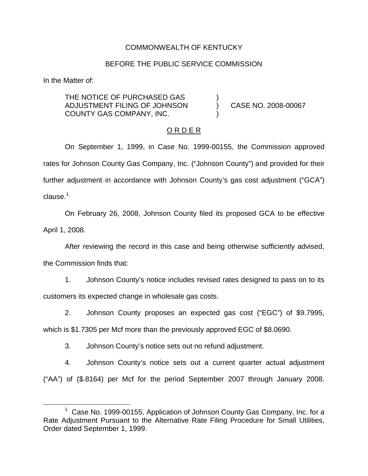#### COMMONWEALTH OF KENTUCKY

#### BEFORE THE PUBLIC SERVICE COMMISSION

In the Matter of:

THE NOTICE OF PURCHASED GAS ADJUSTMENT FILING OF JOHNSON ) CASE NO. 2008-00067 COUNTY GAS COMPANY, INC. )

#### O R D E R

On September 1, 1999, in Case No. 1999-00155, the Commission approved rates for Johnson County Gas Company, Inc. ("Johnson County") and provided for their further adjustment in accordance with Johnson County's gas cost adjustment ("GCA")  $clause<sup>1</sup>$ 

On February 26, 2008, Johnson County filed its proposed GCA to be effective April 1, 2008.

After reviewing the record in this case and being otherwise sufficiently advised,

the Commission finds that:

1. Johnson County's notice includes revised rates designed to pass on to its customers its expected change in wholesale gas costs.

2. Johnson County proposes an expected gas cost ("EGC") of \$9.7995,

which is \$1.7305 per Mcf more than the previously approved EGC of \$8.0690.

3. Johnson County's notice sets out no refund adjustment.

4. Johnson County's notice sets out a current quarter actual adjustment ("AA") of (\$.8164) per Mcf for the period September 2007 through January 2008.

<sup>1</sup> Case No. 1999-00155, Application of Johnson County Gas Company, Inc. for a Rate Adjustment Pursuant to the Alternative Rate Filing Procedure for Small Utilities, Order dated September 1, 1999.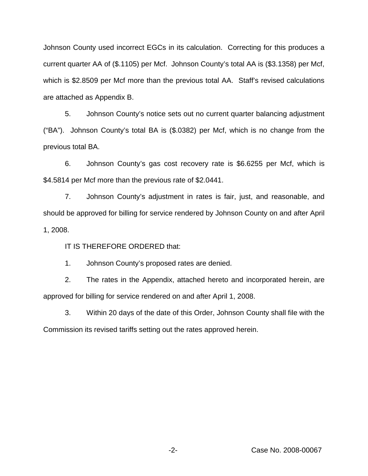Johnson County used incorrect EGCs in its calculation. Correcting for this produces a current quarter AA of (\$.1105) per Mcf. Johnson County's total AA is (\$3.1358) per Mcf, which is \$2.8509 per Mcf more than the previous total AA. Staff's revised calculations are attached as Appendix B.

5. Johnson County's notice sets out no current quarter balancing adjustment ("BA"). Johnson County's total BA is (\$.0382) per Mcf, which is no change from the previous total BA.

6. Johnson County's gas cost recovery rate is \$6.6255 per Mcf, which is \$4.5814 per Mcf more than the previous rate of \$2.0441.

7. Johnson County's adjustment in rates is fair, just, and reasonable, and should be approved for billing for service rendered by Johnson County on and after April 1, 2008.

IT IS THEREFORE ORDERED that:

1. Johnson County's proposed rates are denied.

2. The rates in the Appendix, attached hereto and incorporated herein, are approved for billing for service rendered on and after April 1, 2008.

3. Within 20 days of the date of this Order, Johnson County shall file with the Commission its revised tariffs setting out the rates approved herein.

-2- Case No. 2008-00067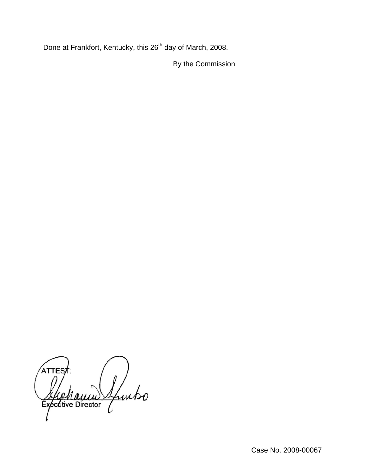Done at Frankfort, Kentucky, this 26<sup>th</sup> day of March, 2008.

By the Commission

ATTES Sfuntso Executive Director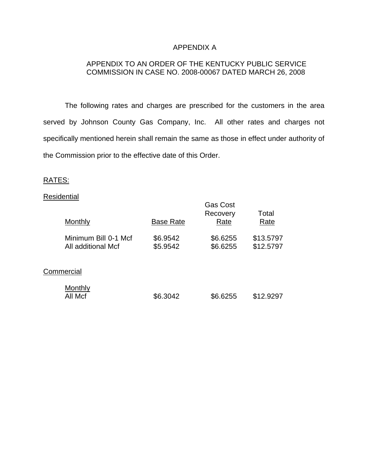### APPENDIX A

## APPENDIX TO AN ORDER OF THE KENTUCKY PUBLIC SERVICE COMMISSION IN CASE NO. 2008-00067 DATED MARCH 26, 2008

The following rates and charges are prescribed for the customers in the area served by Johnson County Gas Company, Inc. All other rates and charges not specifically mentioned herein shall remain the same as those in effect under authority of the Commission prior to the effective date of this Order.

### RATES:

#### **Residential**

|            | Monthly                                    | <b>Base Rate</b>     | <b>Gas Cost</b><br>Recovery<br>Rate | Total<br>Rate          |  |  |
|------------|--------------------------------------------|----------------------|-------------------------------------|------------------------|--|--|
|            | Minimum Bill 0-1 Mcf<br>All additional Mcf | \$6.9542<br>\$5.9542 | \$6.6255<br>\$6.6255                | \$13.5797<br>\$12.5797 |  |  |
| Commercial |                                            |                      |                                     |                        |  |  |
|            | Monthly<br>All Mcf                         | \$6.3042             | \$6.6255                            | \$12.9297              |  |  |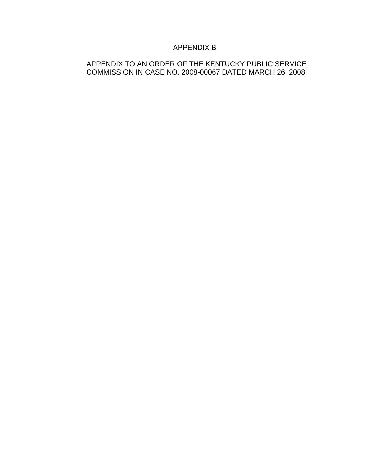# APPENDIX B

## APPENDIX TO AN ORDER OF THE KENTUCKY PUBLIC SERVICE COMMISSION IN CASE NO. 2008-00067 DATED MARCH 26, 2008